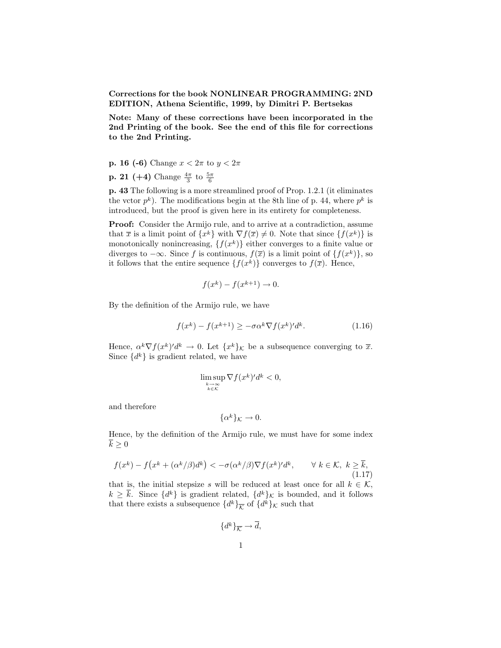**Corrections for the book NONLINEAR PROGRAMMING: 2ND EDITION, Athena Scientific, 1999, by Dimitri P. Bertsekas**

**Note: Many of these corrections have been incorporated in the 2nd Printing of the book. See the end of this file for corrections to the 2nd Printing.**

- **p. 16 (-6)** Change  $x < 2\pi$  to  $y < 2\pi$
- **p. 21** (+4) Change  $\frac{4\pi}{3}$  to  $\frac{5\pi}{6}$

**p. 43** The following is a more streamlined proof of Prop. 1.2.1 (it eliminates the vctor  $p^k$ ). The modifications begin at the 8th line of p. 44, where  $p^k$  is introduced, but the proof is given here in its entirety for completeness.

**Proof:** Consider the Armijo rule, and to arrive at a contradiction, assume that  $\overline{x}$  is a limit point of  $\{x^k\}$  with  $\nabla f(\overline{x}) \neq 0$ . Note that since  $\{f(x^k)\}$  is monotonically nonincreasing,  $\{f(x^k)\}\$ either converges to a finite value or diverges to  $-\infty$ . Since *f* is continuous,  $f(\overline{x})$  is a limit point of {*f*(*x*<sup>*k*</sup>)}, so it follows that the entire sequence  $\{f(x^k)\}\)$  converges to  $f(\overline{x})$ . Hence,

$$
f(x^k) - f(x^{k+1}) \to 0.
$$

By the definition of the Armijo rule, we have

$$
f(x^k) - f(x^{k+1}) \ge -\sigma \alpha^k \nabla f(x^k)' d^k.
$$
 (1.16)

Hence,  $\alpha^k \nabla f(x^k)' d^k \to 0$ . Let  $\{x^k\}_k$  be a subsequence converging to  $\overline{x}$ . Since  $\{d^k\}$  is gradient related, we have

$$
\limsup_{\substack{k \to \infty \\ k \in \mathcal{K}}} \nabla f(x^k)' d^k < 0,
$$

and therefore

$$
\{\alpha^k\}_{\mathcal{K}} \to 0.
$$

Hence, by the definition of the Armijo rule, we must have for some index  $\overline{k} \geq 0$ 

$$
f(x^{k}) - f(x^{k} + (\alpha^{k}/\beta)d^{k}) < -\sigma(\alpha^{k}/\beta)\nabla f(x^{k})'d^{k}, \qquad \forall k \in \mathcal{K}, k \geq \overline{k},
$$
\n(1.17)

that is, the initial stepsize *s* will be reduced at least once for all  $k \in \mathcal{K}$ ,  $k \geq \overline{k}$ . Since  $\{d^k\}$  is gradient related,  $\{d^k\}_\mathcal{K}$  is bounded, and it follows that there exists a subsequence  $\{d^k\}_{\overline{K}}$  of  $\{d^k\}_{\mathcal{K}}$  such that

$$
\{d^k\}_{\overline{\mathcal{K}}}\to \overline{d},
$$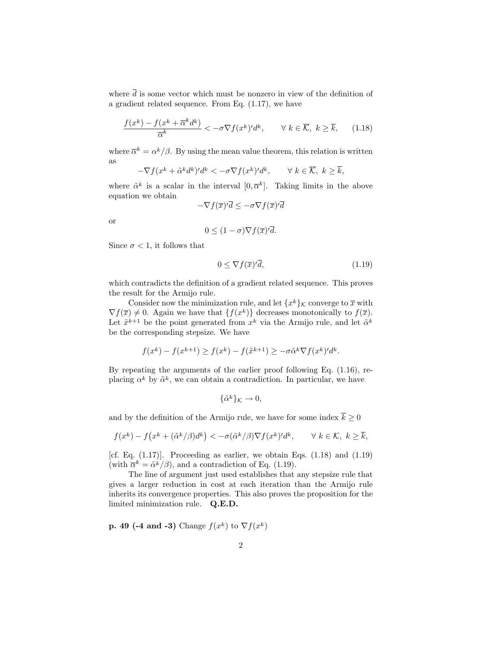where  $\overline{d}$  is some vector which must be nonzero in view of the definition of a gradient related sequence. From Eq. (1.17), we have

$$
\frac{f(x^k) - f(x^k + \overline{\alpha}^k d^k)}{\overline{\alpha}^k} < -\sigma \nabla f(x^k)' d^k, \qquad \forall \ k \in \overline{\mathcal{K}}, \ k \ge \overline{k}, \tag{1.18}
$$

where  $\overline{\alpha}^k = \alpha^k/\beta$ . By using the mean value theorem, this relation is written as

$$
-\nabla f(x^k + \tilde{\alpha}^k d^k)' d^k < -\sigma \nabla f(x^k)' d^k, \qquad \forall \ k \in \overline{\mathcal{K}}, \ k \geq \overline{k},
$$

where  $\tilde{\alpha}^k$  is a scalar in the interval  $[0, \overline{\alpha}^k]$ . Taking limits in the above equation we obtain

$$
-\nabla f(\overline{x})'\overline{d} \le -\sigma \nabla f(\overline{x})'\overline{d}
$$

or

$$
0 \le (1 - \sigma) \nabla f(\overline{x})' \overline{d}.
$$

Since  $\sigma$  < 1, it follows that

$$
0 \le \nabla f(\overline{x})' \overline{d},\tag{1.19}
$$

which contradicts the definition of a gradient related sequence. This proves the result for the Armijo rule.

Consider now the minimization rule, and let  $\{x^k\}_\mathcal{K}$  converge to  $\overline{x}$  with  $\nabla f(\overline{x}) \neq 0$ . Again we have that  $\{f(x^k)\}\$  decreases monotonically to  $f(\overline{x})$ . Let  $\tilde{x}^{k+1}$  be the point generated from  $x^k$  via the Armijo rule, and let  $\tilde{\alpha}^k$ be the corresponding stepsize. We have

$$
f(x^k) - f(x^{k+1}) \ge f(x^k) - f(\tilde{x}^{k+1}) \ge -\sigma \tilde{\alpha}^k \nabla f(x^k)' d^k.
$$

By repeating the arguments of the earlier proof following Eq. (1.16), replacing  $\alpha^k$  by  $\tilde{\alpha}^k$ , we can obtain a contradiction. In particular, we have

$$
\{\tilde{\alpha}^k\}_{\mathcal{K}} \to 0,
$$

and by the definition of the Armijo rule, we have for some index  $\bar{k} > 0$ 

$$
f(x^k) - f(x^k + (\tilde{\alpha}^k/\beta)d^k) < -\sigma(\tilde{\alpha}^k/\beta)\nabla f(x^k)'d^k, \qquad \forall \ k \in \mathcal{K}, \ k \geq \overline{k},
$$

[cf. Eq.  $(1.17)$ ]. Proceeding as earlier, we obtain Eqs.  $(1.18)$  and  $(1.19)$ (with  $\overline{\alpha}^k = \tilde{\alpha}^k/\beta$ ), and a contradiction of Eq. (1.19).

The line of argument just used establishes that any stepsize rule that gives a larger reduction in cost at each iteration than the Armijo rule inherits its convergence properties. This also proves the proposition for the limited minimization rule. **Q.E.D.**

**p. 49 (-4 and -3)** Change  $f(x^k)$  to  $\nabla f(x^k)$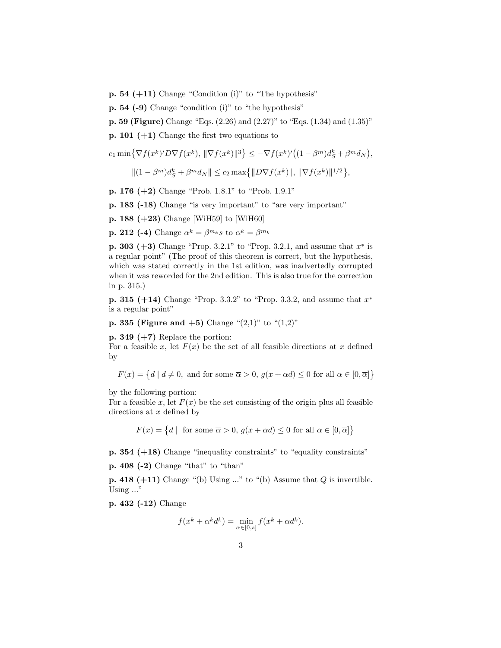- **p. 54 (** $+11$ **)** Change "Condition (i)" to "The hypothesis"
- **p. 54 (-9)** Change "condition (i)" to "the hypothesis"

**p. 59 (Figure)** Change "Eqs. (2.26) and (2.27)" to "Eqs. (1.34) and (1.35)"

**p. 101 (+1)** Change the first two equations to

$$
c_1 \min\left\{\nabla f(x^k)' D \nabla f(x^k), \|\nabla f(x^k)\|^3\right\} \leq -\nabla f(x^k)' \big( (1 - \beta^m) d_S^k + \beta^m d_N \big),
$$

$$
||(1 - \beta^{m})d_{S}^{k} + \beta^{m}d_{N}|| \leq c_{2} \max\{||D\nabla f(x^{k})||, ||\nabla f(x^{k})||^{1/2}\},\
$$

**p. 176 (+2)** Change "Prob. 1.8.1" to "Prob. 1.9.1"

**p. 183 (-18)** Change "is very important" to "are very important"

**p. 188 (+23)** Change [WiH59] to [WiH60]

**p. 212 (-4)** Change  $\alpha^k = \beta^{m_k} s$  to  $\alpha^k = \beta^{m_k} s$ 

**p. 303 (+3)** Change "Prop. 3.2.1" to "Prop. 3.2.1, and assume that *x*<sup>∗</sup> is a regular point" (The proof of this theorem is correct, but the hypothesis, which was stated correctly in the 1st edition, was inadvertedly corrupted when it was reworded for the 2nd edition. This is also true for the correction in p. 315.)

**p. 315 (+14)** Change "Prop. 3.3.2" to "Prop. 3.3.2, and assume that *x*<sup>∗</sup> is a regular point"

**p. 335 (Figure and**  $+5$ **)** Change " $(2,1)$ " to " $(1,2)$ "

**p. 349 (** $+7$ **)** Replace the portion:

For a feasible *x*, let  $F(x)$  be the set of all feasible directions at *x* defined by

$$
F(x) = \{d \mid d \neq 0, \text{ and for some } \overline{\alpha} > 0, g(x + \alpha d) \leq 0 \text{ for all } \alpha \in [0, \overline{\alpha}]\}
$$

by the following portion:

For a feasible  $x$ , let  $F(x)$  be the set consisting of the origin plus all feasible directions at *x* defined by

 $F(x) = \{d \mid \text{ for some } \overline{\alpha} > 0, g(x + \alpha d) \leq 0 \text{ for all } \alpha \in [0, \overline{\alpha}] \}$ 

**p. 354 (+18)** Change "inequality constraints" to "equality constraints"

**p. 408 (-2)** Change "that" to "than"

**p. 418 (+11)** Change "(b) Using ..." to "(b) Assume that *Q* is invertible. Using ..."

**p. 432 (-12)** Change

$$
f(x^k + \alpha^k d^k) = \min_{\alpha \in [0,s]} f(x^k + \alpha d^k).
$$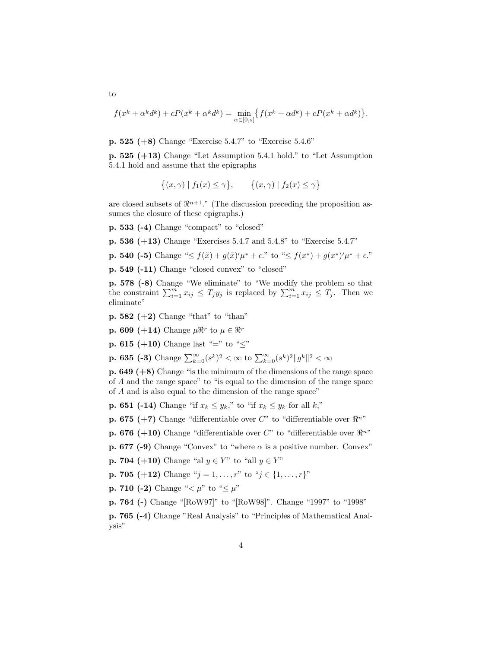$$
f(x^k + \alpha^k d^k) + cP(x^k + \alpha^k d^k) = \min_{\alpha \in [0,s]} \{ f(x^k + \alpha d^k) + cP(x^k + \alpha d^k) \}.
$$

**p. 525 (+8)** Change "Exercise 5.4.7" to "Exercise 5.4.6"

**p. 525 (+13)** Change "Let Assumption 5.4.1 hold." to "Let Assumption 5.4.1 hold and assume that the epigraphs

$$
\{(x,\gamma) \mid f_1(x) \le \gamma\}, \qquad \{(x,\gamma) \mid f_2(x) \le \gamma\}
$$

are closed subsets of  $\mathbb{R}^{n+1}$ ." (The discussion preceding the proposition assumes the closure of these epigraphs.)

**p. 533 (-4)** Change "compact" to "closed"

**p. 536 (+13)** Change "Exercises 5.4.7 and 5.4.8" to "Exercise 5.4.7"

**p. 540 (-5)** Change " $\leq f(\tilde{x}) + g(\tilde{x})'\mu^* + \epsilon$ ." to " $\leq f(x^*) + g(x^*)'\mu^* + \epsilon$ ."

**p. 549 (-11)** Change "closed convex" to "closed"

**p. 578 (-8)** Change "We eliminate" to "We modify the problem so that the constraint  $\sum_{i=1}^{m} x_{ij} \leq T_j y_j$  is replaced by  $\sum_{i=1}^{m} x_{ij} \leq T_j$ . Then we eliminate"

- **p. 582 (+2)** Change "that" to "than"
- **p. 609** (+14) Change  $\mu \Re^{r}$  to  $\mu \in \Re^{r}$

**p. 615 (+10)** Change last "=" to " $\leq$ "

**p. 635 (-3)** Change  $\sum_{k=0}^{\infty} (s^k)^2 < \infty$  to  $\sum_{k=0}^{\infty} (s^k)^2 \|g^k\|^2 < \infty$ 

**p. 649 (+8)** Change "is the minimum of the dimensions of the range space of *A* and the range space" to "is equal to the dimension of the range space of *A* and is also equal to the dimension of the range space"

**p. 651 (-14)** Change "if  $x_k \leq y_k$ ," to "if  $x_k \leq y_k$  for all  $k$ ,"

**p. 675 (+7)** Change "differentiable over  $C$ " to "differentiable over  $\mathbb{R}^{n}$ "

**p. 676 (+10)** Change "differentiable over  $C$ " to "differentiable over  $\mathbb{R}^{n}$ "

**p. 677 (-9)** Change "Convex" to "where  $\alpha$  is a positive number. Convex"

**p. 704 (+10)** Change "al  $y \in Y$ " to "all  $y \in Y$ "

**p. 705 (+12)** Change " $j = 1, ..., r$ " to " $j \in \{1, ..., r\}$ "

**p. 710 (-2)** Change " $\lt \mu$ " to " $\leq \mu$ "

**p. 764 (-)** Change "[RoW97]" to "[RoW98]". Change "1997" to "1998"

**p. 765 (-4)** Change "Real Analysis" to "Principles of Mathematical Analysis"

to